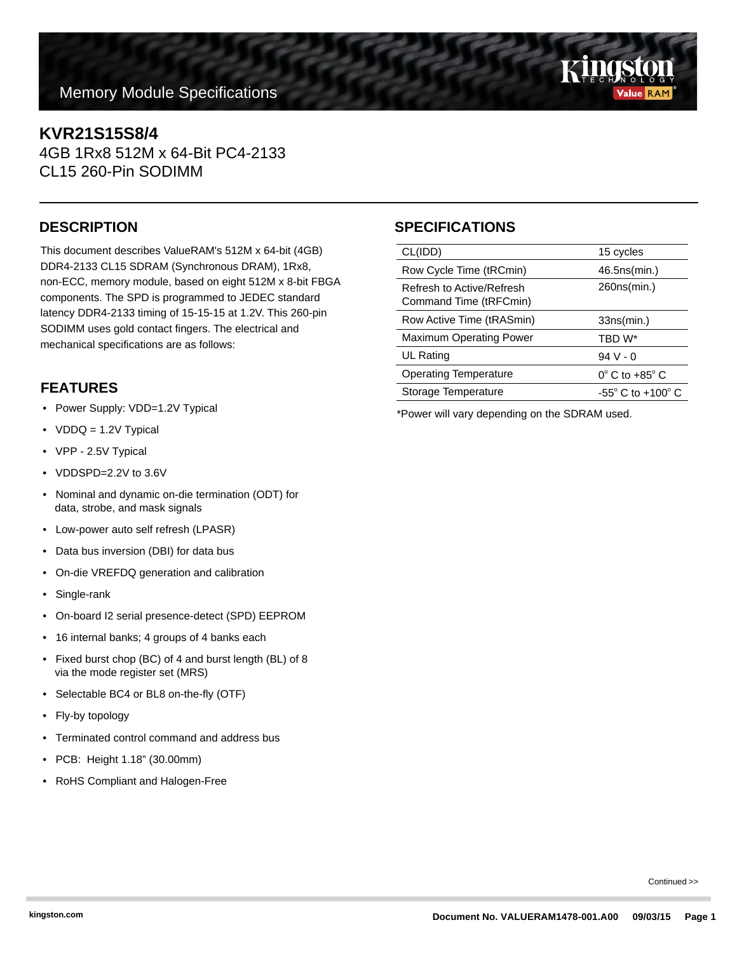# **Memory Module Specifications**

# **KVR21S15S8/4**

4GB 1Rx8 512M x 64-Bit PC4-2133 CL15 260-Pin SODIMM

This document describes ValueRAM's 512M x 64-bit (4GB) DDR4-2133 CL15 SDRAM (Synchronous DRAM), 1Rx8, non-ECC, memory module, based on eight 512M x 8-bit FBGA components. The SPD is programmed to JEDEC standard latency DDR4-2133 timing of 15-15-15 at 1.2V. This 260-pin SODIMM uses gold contact fingers. The electrical and mechanical specifications are as follows:

### **FEATURES**

- Power Supply: VDD=1.2V Typical
- VDDQ = 1.2V Typical
- VPP 2.5V Typical
- VDDSPD=2.2V to 3.6V
- Nominal and dynamic on-die termination (ODT) for data, strobe, and mask signals
- Low-power auto self refresh (LPASR)
- Data bus inversion (DBI) for data bus
- On-die VREFDQ generation and calibration
- Single-rank
- On-board I2 serial presence-detect (SPD) EEPROM
- 16 internal banks; 4 groups of 4 banks each
- Fixed burst chop (BC) of 4 and burst length (BL) of 8 via the mode register set (MRS)
- Selectable BC4 or BL8 on-the-fly (OTF)
- Fly-by topology
- Terminated control command and address bus
- PCB: Height 1.18" (30.00mm)
- RoHS Compliant and Halogen-Free

# **DESCRIPTION SPECIFICATIONS**

| CL(IDD)                                             | 15 cycles                           |
|-----------------------------------------------------|-------------------------------------|
| Row Cycle Time (tRCmin)                             | 46.5ns(min.)                        |
| Refresh to Active/Refresh<br>Command Time (tRFCmin) | 260ns(min.)                         |
| Row Active Time (tRASmin)                           | 33ns(min.)                          |
| Maximum Operating Power                             | TBD W*                              |
| <b>UL Rating</b>                                    | 94 V - 0                            |
| <b>Operating Temperature</b>                        | $0^\circ$ C to $+85^\circ$ C        |
| Storage Temperature                                 | $-55^{\circ}$ C to $+100^{\circ}$ C |

\*Power will vary depending on the SDRAM used.